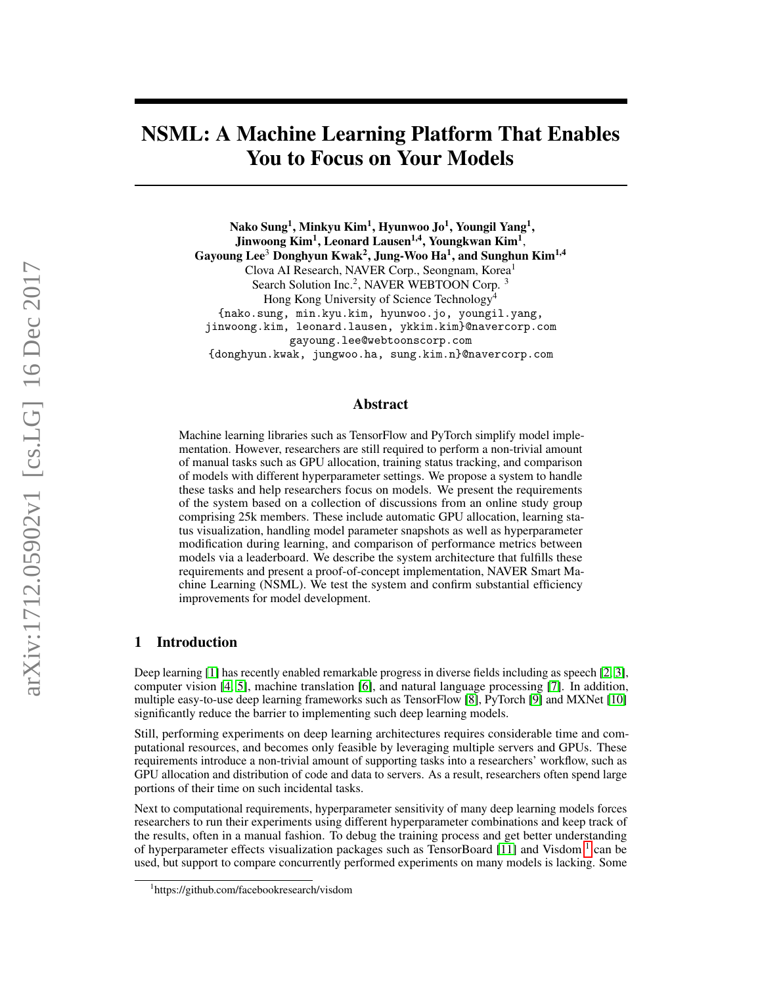# NSML: A Machine Learning Platform That Enables You to Focus on Your Models

Nako Sung $^1$ , Minkyu Kim $^1$ , Hyunwoo Jo $^1$ , Youngil Yang $^1,$ Jinwoong Kim $^1$ , Leonard Lausen $^{1,4}$ , Youngkwan Kim $^1$ , Gayoung Lee $^3$  Donghyun Kwak $^2$ , Jung-Woo Ha $^1$ , and Sunghun Kim $^{1,4}$ Clova AI Research, NAVER Corp., Seongnam, Korea<sup>1</sup> Search Solution Inc.<sup>2</sup>, NAVER WEBTOON Corp.<sup>3</sup> Hong Kong University of Science Technology<sup>4</sup> {nako.sung, min.kyu.kim, hyunwoo.jo, youngil.yang, jinwoong.kim, leonard.lausen, ykkim.kim}@navercorp.com gayoung.lee@webtoonscorp.com {donghyun.kwak, jungwoo.ha, sung.kim.n}@navercorp.com

## Abstract

Machine learning libraries such as TensorFlow and PyTorch simplify model implementation. However, researchers are still required to perform a non-trivial amount of manual tasks such as GPU allocation, training status tracking, and comparison of models with different hyperparameter settings. We propose a system to handle these tasks and help researchers focus on models. We present the requirements of the system based on a collection of discussions from an online study group comprising 25k members. These include automatic GPU allocation, learning status visualization, handling model parameter snapshots as well as hyperparameter modification during learning, and comparison of performance metrics between models via a leaderboard. We describe the system architecture that fulfills these requirements and present a proof-of-concept implementation, NAVER Smart Machine Learning (NSML). We test the system and confirm substantial efficiency improvements for model development.

## 1 Introduction

Deep learning [\[1\]](#page-6-0) has recently enabled remarkable progress in diverse fields including as speech [\[2,](#page-6-1) [3\]](#page-7-0), computer vision [\[4,](#page-7-1) [5\]](#page-7-2), machine translation [\[6\]](#page-7-3), and natural language processing [\[7\]](#page-7-4). In addition, multiple easy-to-use deep learning frameworks such as TensorFlow [\[8\]](#page-7-5), PyTorch [\[9\]](#page-7-6) and MXNet [\[10\]](#page-7-7) significantly reduce the barrier to implementing such deep learning models.

Still, performing experiments on deep learning architectures requires considerable time and computational resources, and becomes only feasible by leveraging multiple servers and GPUs. These requirements introduce a non-trivial amount of supporting tasks into a researchers' workflow, such as GPU allocation and distribution of code and data to servers. As a result, researchers often spend large portions of their time on such incidental tasks.

Next to computational requirements, hyperparameter sensitivity of many deep learning models forces researchers to run their experiments using different hyperparameter combinations and keep track of the results, often in a manual fashion. To debug the training process and get better understanding of hyperparameter effects visualization packages such as TensorBoard [\[11\]](#page-7-8) and Visdom<sup>[1](#page-0-0)</sup> can be used, but support to compare concurrently performed experiments on many models is lacking. Some

<span id="page-0-0"></span><sup>1</sup> https://github.com/facebookresearch/visdom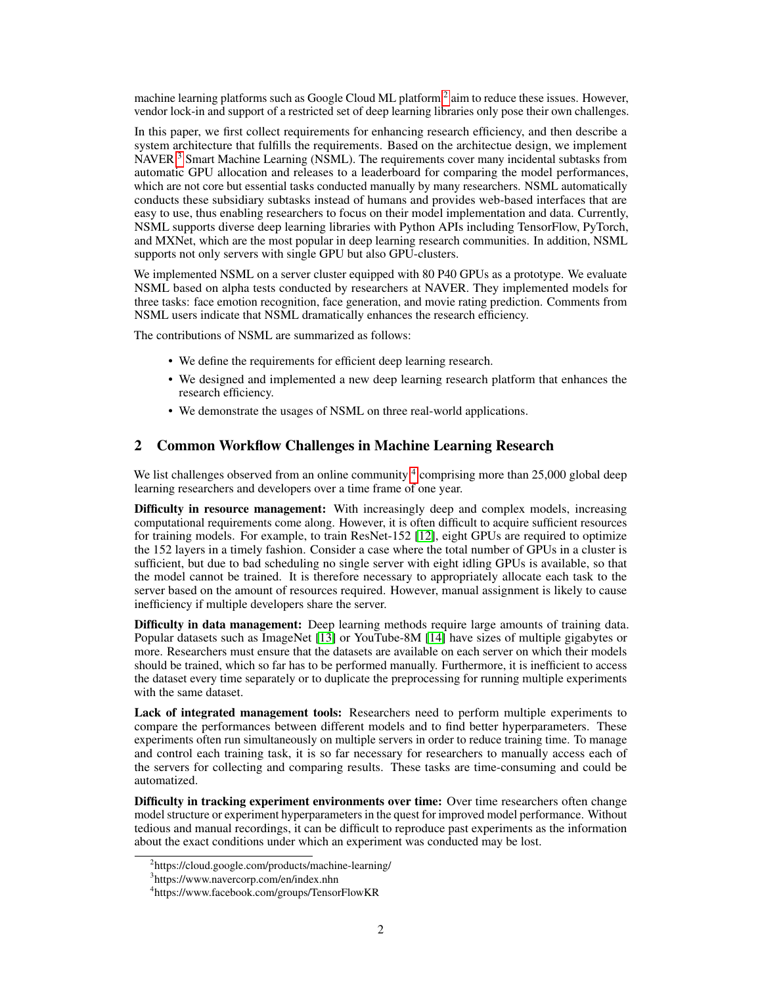machine learning platforms such as Google Cloud ML platform  $^2$  $^2$  aim to reduce these issues. However, vendor lock-in and support of a restricted set of deep learning libraries only pose their own challenges.

In this paper, we first collect requirements for enhancing research efficiency, and then describe a system architecture that fulfills the requirements. Based on the architectue design, we implement NAVER  $3$  Smart Machine Learning (NSML). The requirements cover many incidental subtasks from automatic GPU allocation and releases to a leaderboard for comparing the model performances, which are not core but essential tasks conducted manually by many researchers. NSML automatically conducts these subsidiary subtasks instead of humans and provides web-based interfaces that are easy to use, thus enabling researchers to focus on their model implementation and data. Currently, NSML supports diverse deep learning libraries with Python APIs including TensorFlow, PyTorch, and MXNet, which are the most popular in deep learning research communities. In addition, NSML supports not only servers with single GPU but also GPU-clusters.

We implemented NSML on a server cluster equipped with 80 P40 GPUs as a prototype. We evaluate NSML based on alpha tests conducted by researchers at NAVER. They implemented models for three tasks: face emotion recognition, face generation, and movie rating prediction. Comments from NSML users indicate that NSML dramatically enhances the research efficiency.

The contributions of NSML are summarized as follows:

- We define the requirements for efficient deep learning research.
- We designed and implemented a new deep learning research platform that enhances the research efficiency.
- We demonstrate the usages of NSML on three real-world applications.

## 2 Common Workflow Challenges in Machine Learning Research

We list challenges observed from an online community  $4$  comprising more than 25,000 global deep learning researchers and developers over a time frame of one year.

Difficulty in resource management: With increasingly deep and complex models, increasing computational requirements come along. However, it is often difficult to acquire sufficient resources for training models. For example, to train ResNet-152 [\[12\]](#page-7-9), eight GPUs are required to optimize the 152 layers in a timely fashion. Consider a case where the total number of GPUs in a cluster is sufficient, but due to bad scheduling no single server with eight idling GPUs is available, so that the model cannot be trained. It is therefore necessary to appropriately allocate each task to the server based on the amount of resources required. However, manual assignment is likely to cause inefficiency if multiple developers share the server.

Difficulty in data management: Deep learning methods require large amounts of training data. Popular datasets such as ImageNet [\[13\]](#page-7-10) or YouTube-8M [\[14\]](#page-7-11) have sizes of multiple gigabytes or more. Researchers must ensure that the datasets are available on each server on which their models should be trained, which so far has to be performed manually. Furthermore, it is inefficient to access the dataset every time separately or to duplicate the preprocessing for running multiple experiments with the same dataset.

Lack of integrated management tools: Researchers need to perform multiple experiments to compare the performances between different models and to find better hyperparameters. These experiments often run simultaneously on multiple servers in order to reduce training time. To manage and control each training task, it is so far necessary for researchers to manually access each of the servers for collecting and comparing results. These tasks are time-consuming and could be automatized.

Difficulty in tracking experiment environments over time: Over time researchers often change model structure or experiment hyperparameters in the quest for improved model performance. Without tedious and manual recordings, it can be difficult to reproduce past experiments as the information about the exact conditions under which an experiment was conducted may be lost.

<span id="page-1-0"></span><sup>2</sup> https://cloud.google.com/products/machine-learning/

<span id="page-1-1"></span><sup>3</sup> https://www.navercorp.com/en/index.nhn

<span id="page-1-2"></span><sup>4</sup> https://www.facebook.com/groups/TensorFlowKR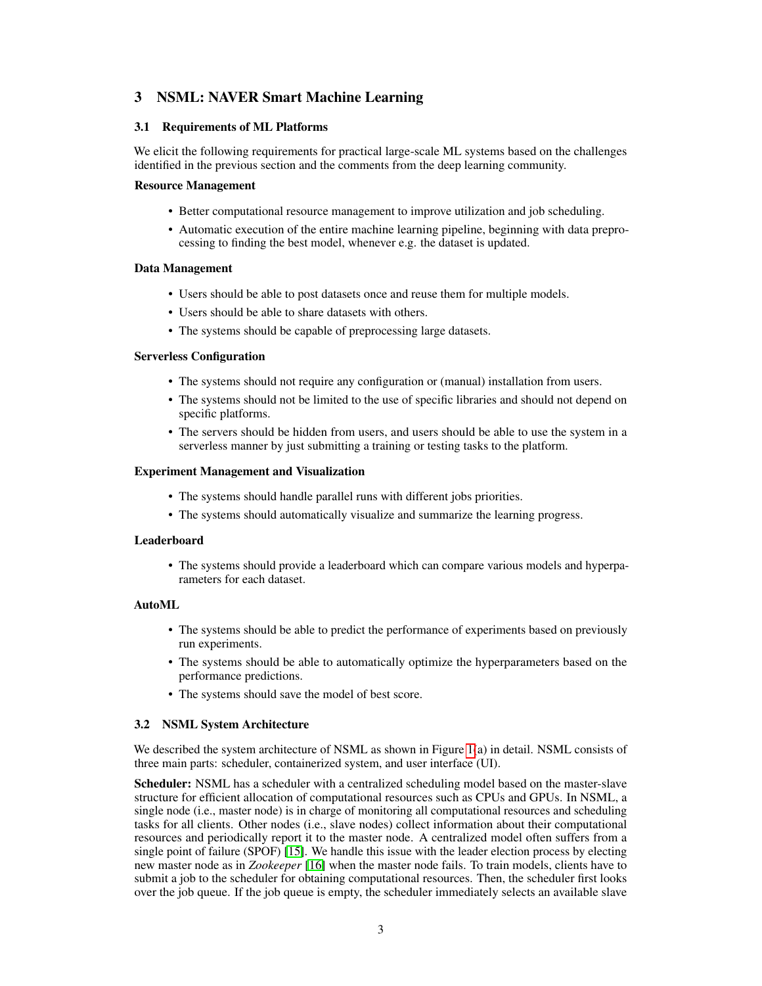# 3 NSML: NAVER Smart Machine Learning

#### 3.1 Requirements of ML Platforms

We elicit the following requirements for practical large-scale ML systems based on the challenges identified in the previous section and the comments from the deep learning community.

#### Resource Management

- Better computational resource management to improve utilization and job scheduling.
- Automatic execution of the entire machine learning pipeline, beginning with data preprocessing to finding the best model, whenever e.g. the dataset is updated.

#### Data Management

- Users should be able to post datasets once and reuse them for multiple models.
- Users should be able to share datasets with others.
- The systems should be capable of preprocessing large datasets.

#### Serverless Configuration

- The systems should not require any configuration or (manual) installation from users.
- The systems should not be limited to the use of specific libraries and should not depend on specific platforms.
- The servers should be hidden from users, and users should be able to use the system in a serverless manner by just submitting a training or testing tasks to the platform.

#### Experiment Management and Visualization

- The systems should handle parallel runs with different jobs priorities.
- The systems should automatically visualize and summarize the learning progress.

#### Leaderboard

• The systems should provide a leaderboard which can compare various models and hyperparameters for each dataset.

#### AutoML

- The systems should be able to predict the performance of experiments based on previously run experiments.
- The systems should be able to automatically optimize the hyperparameters based on the performance predictions.
- The systems should save the model of best score.

#### 3.2 NSML System Architecture

We described the system architecture of NSML as shown in Figure [1\(](#page-3-0)a) in detail. NSML consists of three main parts: scheduler, containerized system, and user interface (UI).

Scheduler: NSML has a scheduler with a centralized scheduling model based on the master-slave structure for efficient allocation of computational resources such as CPUs and GPUs. In NSML, a single node (i.e., master node) is in charge of monitoring all computational resources and scheduling tasks for all clients. Other nodes (i.e., slave nodes) collect information about their computational resources and periodically report it to the master node. A centralized model often suffers from a single point of failure (SPOF) [\[15\]](#page-7-12). We handle this issue with the leader election process by electing new master node as in *Zookeeper* [\[16\]](#page-7-13) when the master node fails. To train models, clients have to submit a job to the scheduler for obtaining computational resources. Then, the scheduler first looks over the job queue. If the job queue is empty, the scheduler immediately selects an available slave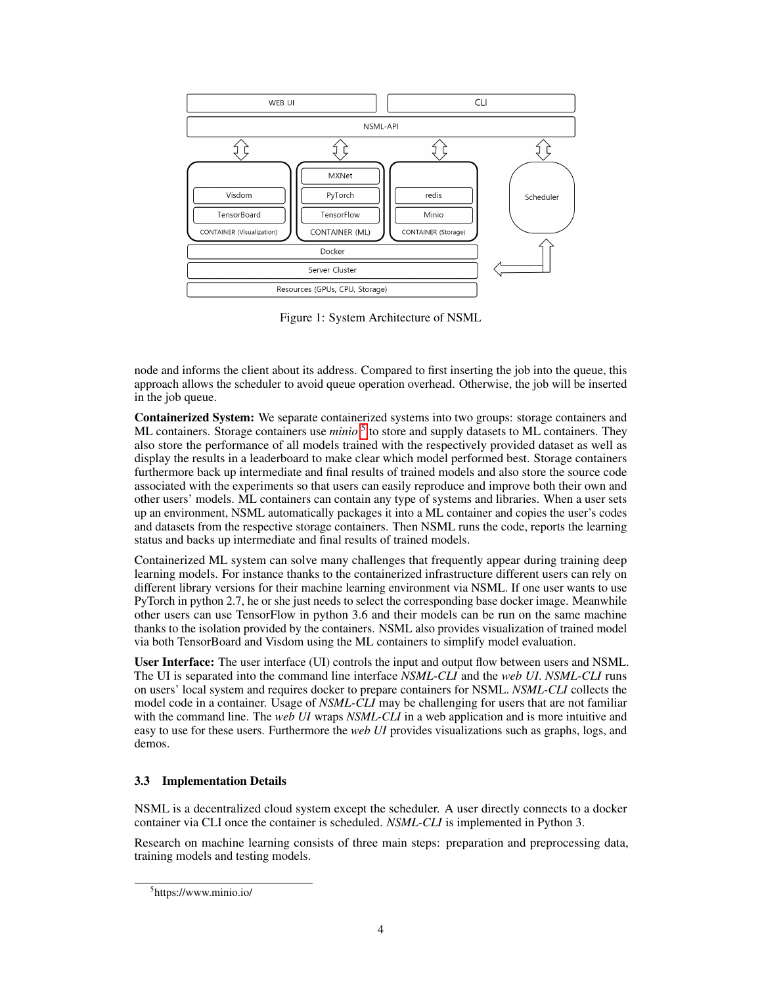

<span id="page-3-0"></span>Figure 1: System Architecture of NSML

node and informs the client about its address. Compared to first inserting the job into the queue, this approach allows the scheduler to avoid queue operation overhead. Otherwise, the job will be inserted in the job queue.

Containerized System: We separate containerized systems into two groups: storage containers and ML containers. Storage containers use *minio*<sup>[5](#page-3-1)</sup> to store and supply datasets to ML containers. They also store the performance of all models trained with the respectively provided dataset as well as display the results in a leaderboard to make clear which model performed best. Storage containers furthermore back up intermediate and final results of trained models and also store the source code associated with the experiments so that users can easily reproduce and improve both their own and other users' models. ML containers can contain any type of systems and libraries. When a user sets up an environment, NSML automatically packages it into a ML container and copies the user's codes and datasets from the respective storage containers. Then NSML runs the code, reports the learning status and backs up intermediate and final results of trained models.

Containerized ML system can solve many challenges that frequently appear during training deep learning models. For instance thanks to the containerized infrastructure different users can rely on different library versions for their machine learning environment via NSML. If one user wants to use PyTorch in python 2.7, he or she just needs to select the corresponding base docker image. Meanwhile other users can use TensorFlow in python 3.6 and their models can be run on the same machine thanks to the isolation provided by the containers. NSML also provides visualization of trained model via both TensorBoard and Visdom using the ML containers to simplify model evaluation.

User Interface: The user interface (UI) controls the input and output flow between users and NSML. The UI is separated into the command line interface *NSML-CLI* and the *web UI*. *NSML-CLI* runs on users' local system and requires docker to prepare containers for NSML. *NSML-CLI* collects the model code in a container. Usage of *NSML-CLI* may be challenging for users that are not familiar with the command line. The *web UI* wraps *NSML-CLI* in a web application and is more intuitive and easy to use for these users. Furthermore the *web UI* provides visualizations such as graphs, logs, and demos.

## 3.3 Implementation Details

NSML is a decentralized cloud system except the scheduler. A user directly connects to a docker container via CLI once the container is scheduled. *NSML-CLI* is implemented in Python 3.

Research on machine learning consists of three main steps: preparation and preprocessing data, training models and testing models.

<span id="page-3-1"></span><sup>5</sup> https://www.minio.io/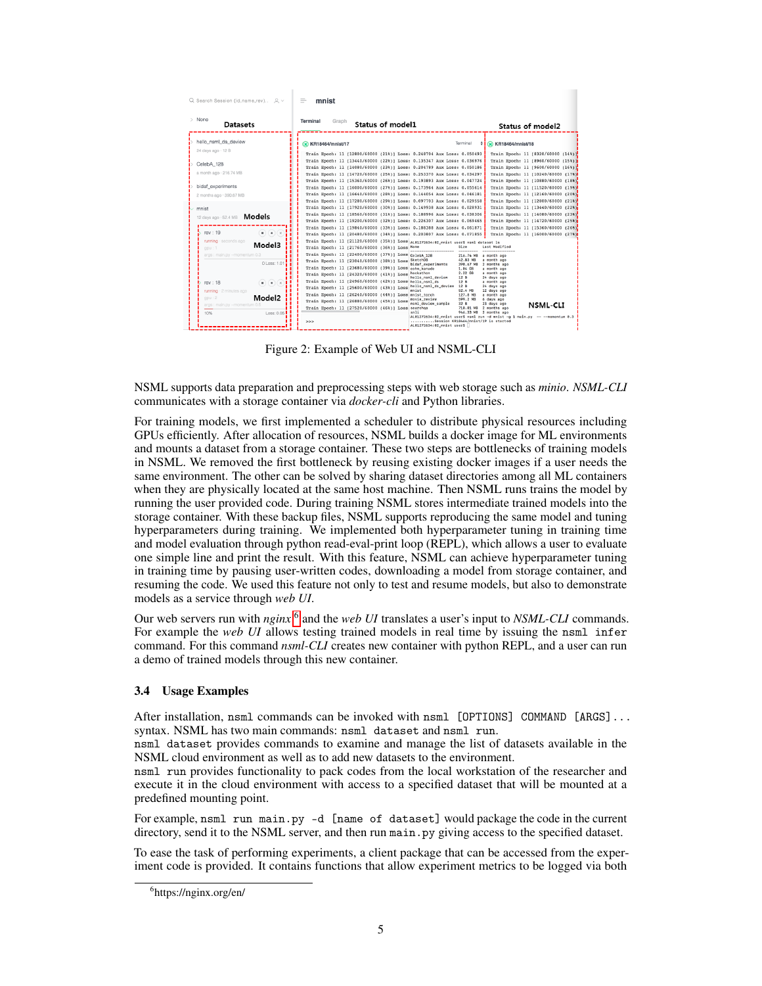| $Q$ Search Session (id.name.rev) $Q \vee$                                                                   | $=$<br>mnist                                                                                                                                                                                                                                  |                                                                                                                               |
|-------------------------------------------------------------------------------------------------------------|-----------------------------------------------------------------------------------------------------------------------------------------------------------------------------------------------------------------------------------------------|-------------------------------------------------------------------------------------------------------------------------------|
| > None<br><b>Datasets</b>                                                                                   | <b>Terminal</b><br>Graph<br>Status of model1                                                                                                                                                                                                  | <b>Status of model2</b>                                                                                                       |
| hello nsml ds deview<br>24 days ago - 12 B                                                                  | Terminal<br><b>&amp;</b> KR18464/mnist/17                                                                                                                                                                                                     | <b>&amp;</b> KR18464/mnist/18                                                                                                 |
| CelebA_128                                                                                                  | Train Epoch: 11 [12800/60000 (21%)] Loss: 0.248704 Aux Loss: 0.050493<br>Train Epoch: 11 (13440/60000 (22%)] Loss: 0.135347 Aux Loss: 0.036976<br>Train Epoch: 11 (14080/60000 (23%)) Loss: 0.204789 Aux Loss: 0.050186                       | Train Epoch: 11 [8320/60000 (14%)]<br>Train Epoch: 11 (8960/60000 (15%) 1<br>Train Epoch: 11 (9600/60000 (16%) 1              |
| a month ago · 216.74 MB<br>bidaf_experiments                                                                | Train Epoch: 11 (14720/60000 (25%)] Loss: 0.253370 Aux Loss: 0.034297<br>Train Epoch: 11 [15360/60000 (26%)] Loss: 0.193893 Aux Loss: 0.047724<br>Train Epoch: 11 (16000/60000 (27%)) Loss: 0.173964 Aux Loss: 0.055614                       | Train Epoch: 11 (10240/60000 (17%)<br>Train Epoch: 11 (10880/60000 (18%)<br>Train Epoch: 11 (11520/60000 (19%)                |
| 2 months ago - 390.67 MB<br>mnist                                                                           | Train Epoch: 11 [16640/60000 (28%)] Loss: 0.144054 Aux Loss: 0.046181<br>Train Epoch: 11 (17280/60000 (29%)) Loss: 0.097703 Aux Loss: 0.029558<br>Train Epoch: 11 [17920/60000 (30%)] Loss: 0.149938 Aux Loss: 0.028931                       | Train Epoch: 11 [12160/60000 (20%) <mark>:</mark><br>Train Epoch: 11 (12800/60000 (21%)<br>Train Epoch: 11 [13440/60000 (22%) |
| 12 days ago - 52.4 MB <b>Models</b>                                                                         | Train Epoch: 11 (18560/60000 (31%)) Loss: 0.188996 Aux Loss: 0.038306<br>Train Epoch: 11 (19200/60000 (32%)] Loss: 0.226307 Aux Loss: 0.069465<br>Train Epoch: 11 [19840/60000 (33%)] Loss: 0.188388 Aux Loss: 0.061871                       | Train Epoch: 11 (14080/60000 (23%)<br>Train Epoch: 11 (14720/60000 (25%)<br>Train Epoch: 11 [15360/60000 (26%) <mark>:</mark> |
| rev: 19<br>$\left( \blacksquare\right) \left( \bullet\right) \left( \times\right.$<br>running · seconds ago | Train Epoch: 11 [20480/60000 (34%)] Loss: 0.203807 Aux Loss: 0.071855<br>Train Epoch: 11 [21120/60000 (35%)] LOSS AL01272634:02_mnist user\$ nsml dataset 1s                                                                                  | Train Epoch: 11 [16000/60000 (27%)                                                                                            |
| Model3<br>qov:1<br>args : main.pv -- momentum 0.3                                                           | Size<br>Name<br>Train Epoch: 11 [21760/60000 (36%)] Loss<br>Train Epoch: 11 [22400/60000 (37%)] LOSS CelebA 128<br>216.74 MB                                                                                                                  | Last Modified<br>a month ago                                                                                                  |
| 0 Loss: 1.01                                                                                                | SketchDB<br>42.83 MB<br>Train Epoch: 11 (23040/60000 (38%)] Loss<br>bidaf_experiments<br>398.67 MB<br>Train Epoch: 11 (23680/60000 (39%) ] Loss<br>cohn kanade<br>1.04 GB<br>2.22 GB<br>hackathon<br>Train Epoch: 11 (24320/60000 (41%)) Loss | a month ago<br>2 months ago<br>a month ago<br>a month ago                                                                     |
| $\blacksquare$ $\blacksquare$ $\blacksquare$<br>rev: 18<br>running · 2 minutes ago                          | hello_nsml_deview<br>12B<br>Train Epoch: 11 [24960/60000 (42%)] Loss<br>hello nsml ds<br>12B<br>hello_nsml_ds_deview<br>12 B<br>Train Epoch: 11 (25600/60000 (43%)) Loss<br>mnist<br>52.4 MB                                                  | 24 days ago<br>a month ago<br>24 days ago<br>12 days ago                                                                      |
| Model <sub>2</sub><br>qov:2<br>args : main.py -- momentum 0.5                                               | Train Epoch: 11 (26240/60000 (44%)) Loss<br>127.8 MB<br>mnist torch<br>novie_review<br>599.2 MB<br>Train Epoch: 11 (26880/60000 (45%)) Loss<br>nsml_deview_sample<br>32 B<br>Train Epoch: 11 [27520/60000 (46%)] Loss searchga<br>710.01 MB   | a month ago<br>6 days ago<br>23 days ago<br><b>NSML-CLI</b><br>2 months ago                                                   |
| Loss: 0.05<br>10%                                                                                           | snli<br>946.33 MB 2 months ago<br>Session KR18464/mnist/19 is started<br>>><br>AL01272634:02 mnist user\$                                                                                                                                     | AL01272634:02_mnist user\$ nsml run -d mnist -g 1 main.py -- -- nomentum 0.3                                                  |

<span id="page-4-1"></span>Figure 2: Example of Web UI and NSML-CLI

NSML supports data preparation and preprocessing steps with web storage such as *minio*. *NSML-CLI* communicates with a storage container via *docker-cli* and Python libraries.

For training models, we first implemented a scheduler to distribute physical resources including GPUs efficiently. After allocation of resources, NSML builds a docker image for ML environments and mounts a dataset from a storage container. These two steps are bottlenecks of training models in NSML. We removed the first bottleneck by reusing existing docker images if a user needs the same environment. The other can be solved by sharing dataset directories among all ML containers when they are physically located at the same host machine. Then NSML runs trains the model by running the user provided code. During training NSML stores intermediate trained models into the storage container. With these backup files, NSML supports reproducing the same model and tuning hyperparameters during training. We implemented both hyperparameter tuning in training time and model evaluation through python read-eval-print loop (REPL), which allows a user to evaluate one simple line and print the result. With this feature, NSML can achieve hyperparameter tuning in training time by pausing user-written codes, downloading a model from storage container, and resuming the code. We used this feature not only to test and resume models, but also to demonstrate models as a service through *web UI*.

Our web servers run with *nginx* [6](#page-4-0) and the *web UI* translates a user's input to *NSML-CLI* commands. For example the *web UI* allows testing trained models in real time by issuing the nsml infer command. For this command *nsml-CLI* creates new container with python REPL, and a user can run a demo of trained models through this new container.

### 3.4 Usage Examples

After installation, nsml commands can be invoked with nsml [OPTIONS] COMMAND [ARGS]... syntax. NSML has two main commands: nsml dataset and nsml run.

nsml dataset provides commands to examine and manage the list of datasets available in the NSML cloud environment as well as to add new datasets to the environment.

nsml run provides functionality to pack codes from the local workstation of the researcher and execute it in the cloud environment with access to a specified dataset that will be mounted at a predefined mounting point.

For example, nsml run main.py -d [name of dataset] would package the code in the current directory, send it to the NSML server, and then run main.py giving access to the specified dataset.

To ease the task of performing experiments, a client package that can be accessed from the experiment code is provided. It contains functions that allow experiment metrics to be logged via both

<span id="page-4-0"></span><sup>6</sup> https://nginx.org/en/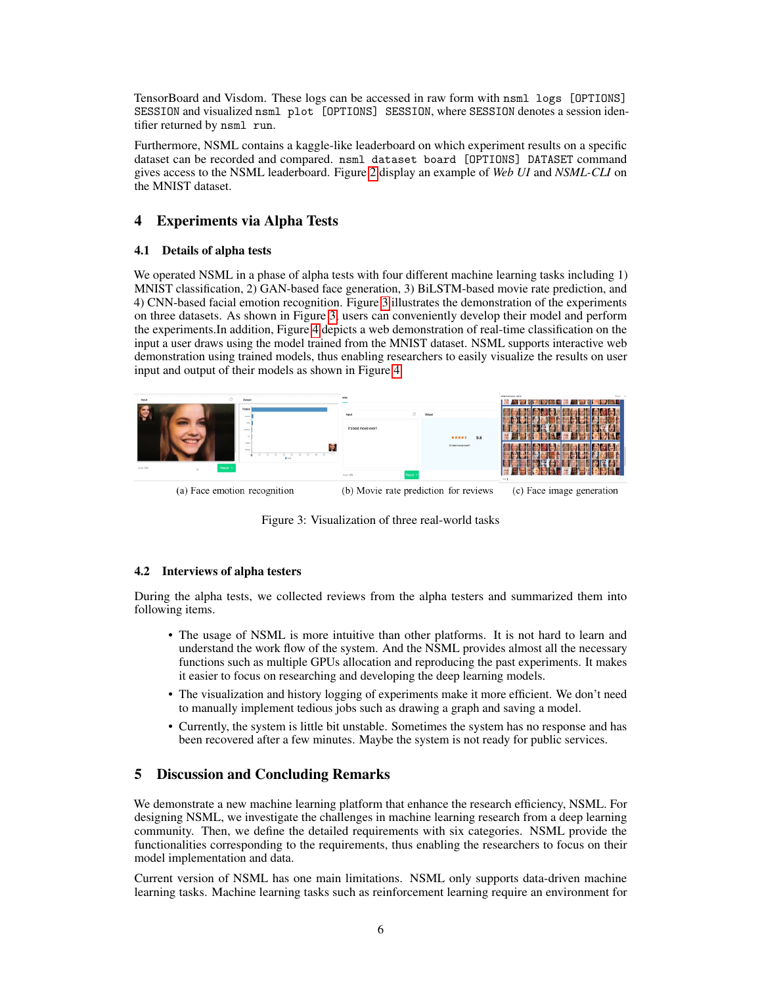TensorBoard and Visdom. These logs can be accessed in raw form with nsml logs [OPTIONS] SESSION and visualized nsml plot [OPTIONS] SESSION, where SESSION denotes a session identifier returned by nsml run.

Furthermore, NSML contains a kaggle-like leaderboard on which experiment results on a specific dataset can be recorded and compared. nsml dataset board [OPTIONS] DATASET command gives access to the NSML leaderboard. Figure [2](#page-4-1) display an example of *Web UI* and *NSML-CLI* on the MNIST dataset.

# 4 Experiments via Alpha Tests

## 4.1 Details of alpha tests

We operated NSML in a phase of alpha tests with four different machine learning tasks including 1) MNIST classification, 2) GAN-based face generation, 3) BiLSTM-based movie rate prediction, and 4) CNN-based facial emotion recognition. Figure [3](#page-5-0) illustrates the demonstration of the experiments on three datasets. As shown in Figure [3,](#page-5-0) users can conveniently develop their model and perform the experiments.In addition, Figure [4](#page-6-2) depicts a web demonstration of real-time classification on the input a user draws using the model trained from the MNIST dataset. NSML supports interactive web demonstration using trained models, thus enabling researchers to easily visualize the results on user input and output of their models as shown in Figure [4.](#page-6-2)



<span id="page-5-0"></span>Figure 3: Visualization of three real-world tasks

## 4.2 Interviews of alpha testers

During the alpha tests, we collected reviews from the alpha testers and summarized them into following items.

- The usage of NSML is more intuitive than other platforms. It is not hard to learn and understand the work flow of the system. And the NSML provides almost all the necessary functions such as multiple GPUs allocation and reproducing the past experiments. It makes it easier to focus on researching and developing the deep learning models.
- The visualization and history logging of experiments make it more efficient. We don't need to manually implement tedious jobs such as drawing a graph and saving a model.
- Currently, the system is little bit unstable. Sometimes the system has no response and has been recovered after a few minutes. Maybe the system is not ready for public services.

# 5 Discussion and Concluding Remarks

We demonstrate a new machine learning platform that enhance the research efficiency, NSML. For designing NSML, we investigate the challenges in machine learning research from a deep learning community. Then, we define the detailed requirements with six categories. NSML provide the functionalities corresponding to the requirements, thus enabling the researchers to focus on their model implementation and data.

Current version of NSML has one main limitations. NSML only supports data-driven machine learning tasks. Machine learning tasks such as reinforcement learning require an environment for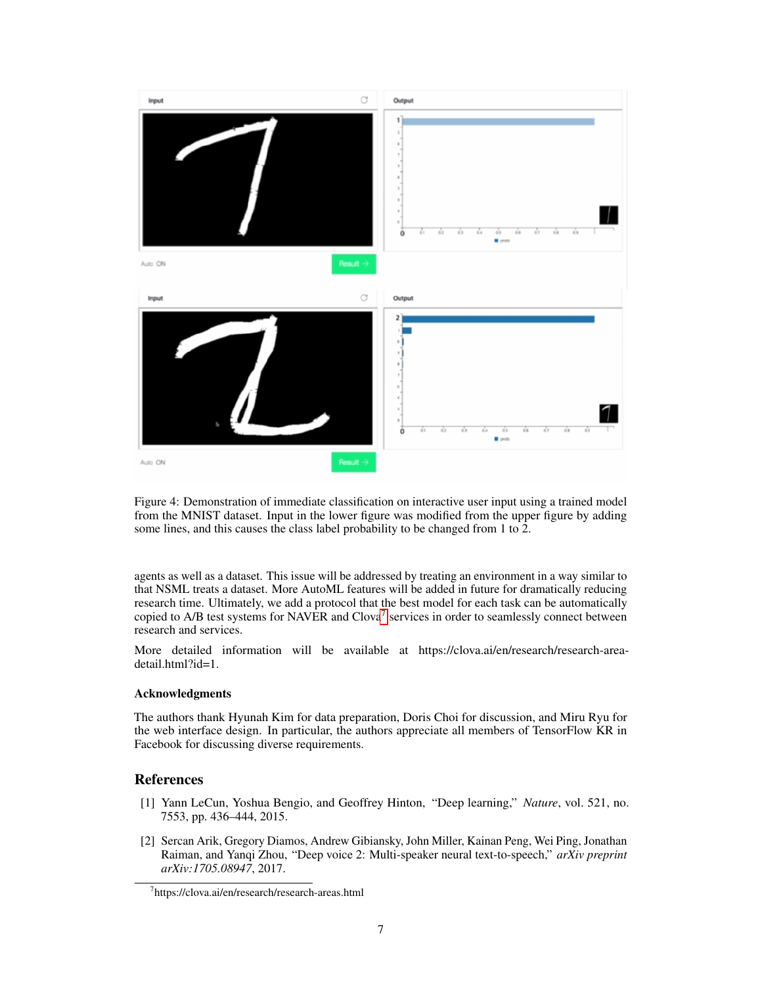

<span id="page-6-2"></span>Figure 4: Demonstration of immediate classification on interactive user input using a trained model from the MNIST dataset. Input in the lower figure was modified from the upper figure by adding some lines, and this causes the class label probability to be changed from 1 to 2.

agents as well as a dataset. This issue will be addressed by treating an environment in a way similar to that NSML treats a dataset. More AutoML features will be added in future for dramatically reducing research time. Ultimately, we add a protocol that the best model for each task can be automatically copied to A/B test systems for NAVER and Clova<sup>[7](#page-6-3)</sup> services in order to seamlessly connect between research and services.

More detailed information will be available at https://clova.ai/en/research/research-areadetail.html?id=1.

#### Acknowledgments

The authors thank Hyunah Kim for data preparation, Doris Choi for discussion, and Miru Ryu for the web interface design. In particular, the authors appreciate all members of TensorFlow KR in Facebook for discussing diverse requirements.

## References

- <span id="page-6-0"></span>[1] Yann LeCun, Yoshua Bengio, and Geoffrey Hinton, "Deep learning," *Nature*, vol. 521, no. 7553, pp. 436–444, 2015.
- <span id="page-6-1"></span>[2] Sercan Arik, Gregory Diamos, Andrew Gibiansky, John Miller, Kainan Peng, Wei Ping, Jonathan Raiman, and Yanqi Zhou, "Deep voice 2: Multi-speaker neural text-to-speech," *arXiv preprint arXiv:1705.08947*, 2017.

<span id="page-6-3"></span><sup>7</sup> https://clova.ai/en/research/research-areas.html